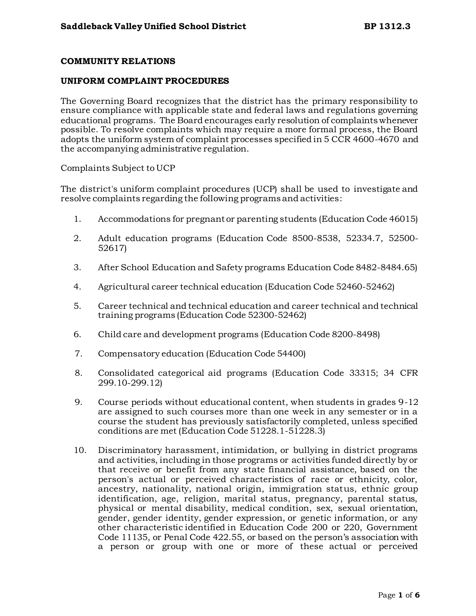## **COMMUNITY RELATIONS**

## **UNIFORM COMPLAINT PROCEDURES**

The Governing Board recognizes that the district has the primary responsibility to ensure compliance with applicable state and federal laws and regulations governing educational programs. The Board encourages early resolution of complaints whenever possible. To resolve complaints which may require a more formal process, the Board adopts the uniform system of complaint processes specified in 5 CCR 4600-4670 and the accompanying administrative regulation.

Complaints Subject to UCP

The district's uniform complaint procedures (UCP) shall be used to investigate and resolve complaints regarding the following programs and activities:

- 1. Accommodations for pregnant or parenting students (Education Code 46015)
- 2. Adult education programs (Education Code 8500-8538, 52334.7, 52500- 52617)
- 3. After School Education and Safety programs Education Code 8482-8484.65)
- 4. Agricultural career technical education (Education Code 52460-52462)
- 5. Career technical and technical education and career technical and technical training programs (Education Code 52300-52462)
- 6. Child care and development programs (Education Code 8200-8498)
- 7. Compensatory education (Education Code 54400)
- 8. Consolidated categorical aid programs (Education Code 33315; 34 CFR 299.10-299.12)
- 9. Course periods without educational content, when students in grades 9-12 are assigned to such courses more than one week in any semester or in a course the student has previously satisfactorily completed, unless specified conditions are met (Education Code 51228.1-51228.3)
- 10. Discriminatory harassment, intimidation, or bullying in district programs and activities, including in those programs or activities funded directly by or that receive or benefit from any state financial assistance, based on the person's actual or perceived characteristics of race or ethnicity, color, ancestry, nationality, national origin, immigration status, ethnic group identification, age, religion, marital status, pregnancy, parental status, physical or mental disability, medical condition, sex, sexual orientation, gender, gender identity, gender expression, or genetic information, or any other characteristic identified in Education Code 200 or 220, Government Code 11135, or Penal Code 422.55, or based on the person's association with a person or group with one or more of these actual or perceived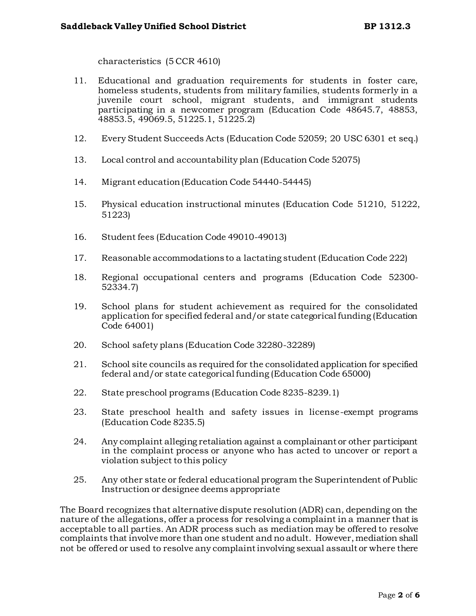characteristics (5 CCR 4610)

- 11. Educational and graduation requirements for students in foster care, homeless students, students from military families, students formerly in a juvenile court school, migrant students, and immigrant students participating in a newcomer program (Education Code 48645.7, 48853, 48853.5, 49069.5, 51225.1, 51225.2)
- 12. Every Student Succeeds Acts (Education Code 52059; 20 USC 6301 et seq.)
- 13. Local control and accountability plan (Education Code 52075)
- 14. Migrant education (Education Code 54440-54445)
- 15. Physical education instructional minutes (Education Code 51210, 51222, 51223)
- 16. Student fees (Education Code 49010-49013)
- 17. Reasonable accommodations to a lactating student (Education Code 222)
- 18. Regional occupational centers and programs (Education Code 52300- 52334.7)
- 19. School plans for student achievement as required for the consolidated application for specified federal and/or state categorical funding (Education Code 64001)
- 20. School safety plans (Education Code 32280-32289)
- 21. School site councils as required for the consolidated application for specified federal and/or state categorical funding (Education Code 65000)
- 22. State preschool programs (Education Code 8235-8239.1)
- 23. State preschool health and safety issues in license-exempt programs (Education Code 8235.5)
- 24. Any complaint alleging retaliation against a complainant or other participant in the complaint process or anyone who has acted to uncover or report a violation subject to this policy
- 25. Any other state or federal educational program the Superintendent of Public Instruction or designee deems appropriate

The Board recognizes that alternative dispute resolution (ADR) can, depending on the nature of the allegations, offer a process for resolving a complaint in a manner that is acceptable to all parties. An ADR process such as mediation may be offered to resolve complaints that involve more than one student and no adult. However, mediation shall not be offered or used to resolve any complaint involving sexual assault or where there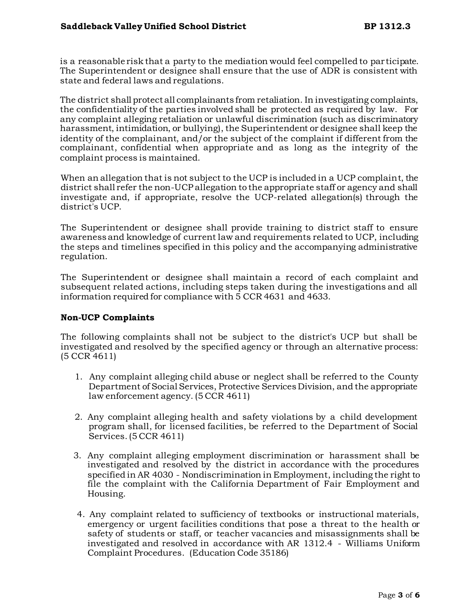is a reasonable risk that a party to the mediation would feel compelled to par ticipate. The Superintendent or designee shall ensure that the use of ADR is consistent with state and federal laws and regulations.

The district shall protect all complainants from retaliation. In investigating complaints, the confidentiality of the parties involved shall be protected as required by law. For any complaint alleging retaliation or unlawful discrimination (such as discriminatory harassment, intimidation, or bullying), the Superintendent or designee shall keep the identity of the complainant, and/or the subject of the complaint if different from the complainant, confidential when appropriate and as long as the integrity of the complaint process is maintained.

When an allegation that is not subject to the UCP is included in a UCP complaint, the district shall refer the non-UCP allegation to the appropriate staff or agency and shall investigate and, if appropriate, resolve the UCP-related allegation(s) through the district's UCP.

The Superintendent or designee shall provide training to district staff to ensure awareness and knowledge of current law and requirements related to UCP, including the steps and timelines specified in this policy and the accompanying administrative regulation.

The Superintendent or designee shall maintain a record of each complaint and subsequent related actions, including steps taken during the investigations and all information required for compliance with 5 CCR 4631 and 4633.

## **Non-UCP Complaints**

The following complaints shall not be subject to the district's UCP but shall be investigated and resolved by the specified agency or through an alternative process: (5 CCR 4611)

- 1. Any complaint alleging child abuse or neglect shall be referred to the County Department of Social Services, Protective Services Division, and the appropriate law enforcement agency. (5 CCR 4611)
- 2. Any complaint alleging health and safety violations by a child development program shall, for licensed facilities, be referred to the Department of Social Services. (5 CCR 4611)
- 3. Any complaint alleging employment discrimination or harassment shall be investigated and resolved by the district in accordance with the procedures specified in AR 4030 - Nondiscrimination in Employment, including the right to file the complaint with the California Department of Fair Employment and Housing.
- 4. Any complaint related to sufficiency of textbooks or instructional materials, emergency or urgent facilities conditions that pose a threat to the health or safety of students or staff, or teacher vacancies and misassignments shall be investigated and resolved in accordance with AR 1312.4 - Williams Uniform Complaint Procedures. (Education Code 35186)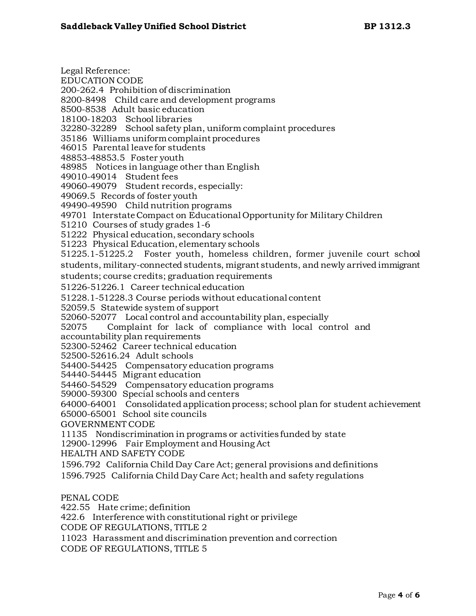Legal Reference: EDUCATION CODE 200-262.4 Prohibition of discrimination 8200-8498 Child care and development programs 8500-8538 Adult basic education 18100-18203 School libraries 32280-32289 School safety plan, uniform complaint procedures 35186 Williams uniform complaint procedures 46015 Parental leave for students 48853-48853.5 Foster youth 48985 Notices in language other than English 49010-49014 Student fees 49060-49079 Student records, especially: 49069.5 Records of foster youth 49490-49590 Child nutrition programs 49701 Interstate Compact on Educational Opportunity for Military Children 51210 Courses of study grades 1-6 51222 Physical education, secondary schools 51223 Physical Education, elementary schools 51225.1-51225.2 Foster youth, homeless children, former juvenile court school students, military-connected students, migrant students, and newly arrived immigrant students; course credits; graduation requirements 51226-51226.1 Career technical education 51228.1-51228.3 Course periods without educational content 52059.5 Statewide system of support 52060-52077 Local control and accountability plan, especially 52075 Complaint for lack of compliance with local control and accountability plan requirements 52300-52462 Career technical education 52500-52616.24 Adult schools 54400-54425 Compensatory education programs 54440-54445 Migrant education 54460-54529 Compensatory education programs 59000-59300 Special schools and centers 64000-64001 Consolidated application process; school plan for student achievement 65000-65001 School site councils GOVERNMENT CODE 11135 Nondiscrimination in programs or activities funded by state 12900-12996 Fair Employment and Housing Act HEALTH AND SAFETY CODE 1596.792 California Child Day Care Act; general provisions and definitions 1596.7925 California Child Day Care Act; health and safety regulations PENAL CODE 422.55 Hate crime; definition

422.6 Interference with constitutional right or privilege

CODE OF REGULATIONS, TITLE 2

11023 Harassment and discrimination prevention and correction

CODE OF REGULATIONS, TITLE 5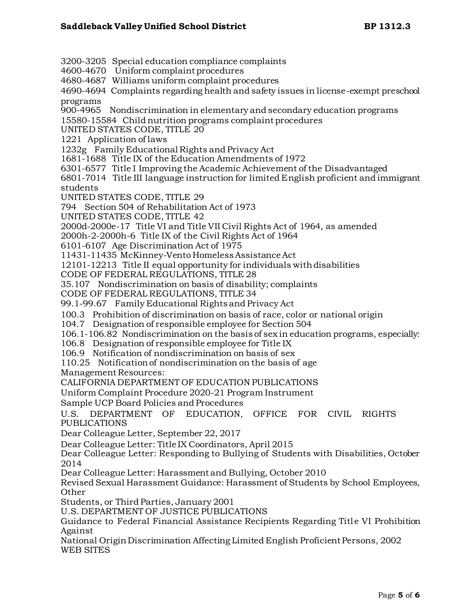3200-3205 Special education compliance complaints 4600-4670 Uniform complaint procedures 4680-4687 Williams uniform complaint procedures 4690-4694 Complaints regarding health and safety issues in license-exempt preschool programs 900-4965 Nondiscrimination in elementary and secondary education programs 15580-15584 Child nutrition programs complaint procedures UNITED STATES CODE, TITLE 20 1221 Application of laws 1232g Family Educational Rights and Privacy Act 1681-1688 Title IX of the Education Amendments of 1972 6301-6577 Title I Improving the Academic Achievement of the Disadvantaged 6801-7014 Title III language instruction for limited English proficient and immigrant students UNITED STATES CODE, TITLE 29 794 Section 504 of Rehabilitation Act of 1973 UNITED STATES CODE, TITLE 42 2000d-2000e-17 Title VI and Title VII Civil Rights Act of 1964, as amended 2000h-2-2000h-6 Title IX of the Civil Rights Act of 1964 6101-6107 Age Discrimination Act of 1975 11431-11435 McKinney-Vento Homeless Assistance Act 12101-12213 Title II equal opportunity for individuals with disabilities CODE OF FEDERAL REGULATIONS, TITLE 28 35.107 Nondiscrimination on basis of disability; complaints CODE OF FEDERAL REGULATIONS, TITLE 34 99.1-99.67 Family Educational Rights and Privacy Act 100.3 Prohibition of discrimination on basis of race, color or national origin 104.7 Designation of responsible employee for Section 504 106.1-106.82 Nondiscrimination on the basis of sex in education programs, especially: 106.8 Designation of responsible employee for Title IX 106.9 Notification of nondiscrimination on basis of sex 110.25 Notification of nondiscrimination on the basis of age Management Resources: CALIFORNIA DEPARTMENT OF EDUCATION PUBLICATIONS Uniform Complaint Procedure 2020-21 Program Instrument Sample UCP Board Policies and Procedures U.S. DEPARTMENT OF EDUCATION, OFFICE FOR CIVIL RIGHTS PUBLICATIONS Dear Colleague Letter, September 22, 2017 Dear Colleague Letter: Title IX Coordinators, April 2015 Dear Colleague Letter: Responding to Bullying of Students with Disabilities, October 2014 Dear Colleague Letter: Harassment and Bullying, October 2010 Revised Sexual Harassment Guidance: Harassment of Students by School Employees, Other Students, or Third Parties, January 2001 U.S. DEPARTMENT OF JUSTICE PUBLICATIONS Guidance to Federal Financial Assistance Recipients Regarding Title VI Prohibition Against National Origin Discrimination Affecting Limited English Proficient Persons, 2002 WEB SITES